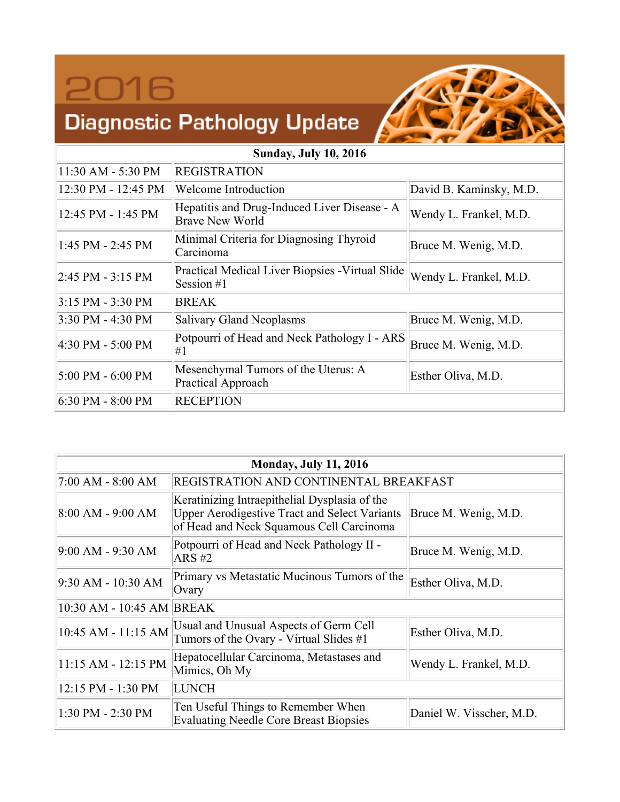## 2016

## **Diagnostic Pathology Update**



| <b>Sunday, July 10, 2016</b> |                                                                        |                         |
|------------------------------|------------------------------------------------------------------------|-------------------------|
| 11:30 AM - 5:30 PM           | <b>REGISTRATION</b>                                                    |                         |
| 12:30 PM - 12:45 PM          | Welcome Introduction                                                   | David B. Kaminsky, M.D. |
| 12:45 PM - 1:45 PM           | Hepatitis and Drug-Induced Liver Disease - A<br><b>Brave New World</b> | Wendy L. Frankel, M.D.  |
| 1:45 PM - 2:45 PM            | Minimal Criteria for Diagnosing Thyroid<br>Carcinoma                   | Bruce M. Wenig, M.D.    |
| $ 2:45$ PM - 3:15 PM         | Practical Medical Liver Biopsies - Virtual Slide<br>Session $#1$       | Wendy L. Frankel, M.D.  |
| $3:15$ PM - 3:30 PM          | <b>BREAK</b>                                                           |                         |
| 3:30 PM - 4:30 PM            | Salivary Gland Neoplasms                                               | Bruce M. Wenig, M.D.    |
| 4:30 PM - 5:00 PM            | Potpourri of Head and Neck Pathology I - ARS<br>#1                     | Bruce M. Wenig, M.D.    |
| 5:00 PM - 6:00 PM            | Mesenchymal Tumors of the Uterus: A<br>Practical Approach              | Esther Oliva, M.D.      |
| 6:30 PM - 8:00 PM            | <b>RECEPTION</b>                                                       |                         |

| <b>Monday, July 11, 2016</b> |                                                                                                                                                   |                          |
|------------------------------|---------------------------------------------------------------------------------------------------------------------------------------------------|--------------------------|
| 7:00 AM - 8:00 AM            | REGISTRATION AND CONTINENTAL BREAKFAST                                                                                                            |                          |
| 8:00 AM - 9:00 AM            | Keratinizing Intraepithelial Dysplasia of the<br><b>Upper Aerodigestive Tract and Select Variants</b><br>of Head and Neck Squamous Cell Carcinoma | Bruce M. Wenig, M.D.     |
| 9:00 AM - 9:30 AM            | Potpourri of Head and Neck Pathology II -<br>ARS#2                                                                                                | Bruce M. Wenig, M.D.     |
| 9:30 AM - 10:30 AM           | Primary vs Metastatic Mucinous Tumors of the<br>Ovary                                                                                             | Esther Oliva, M.D.       |
| 10:30 AM - 10:45 AM BREAK    |                                                                                                                                                   |                          |
| 10:45 AM - 11:15 AM          | Usual and Unusual Aspects of Germ Cell<br>Tumors of the Ovary - Virtual Slides #1                                                                 | Esther Oliva, M.D.       |
| 11:15 AM - 12:15 PM          | Hepatocellular Carcinoma, Metastases and<br>Mimics, Oh My                                                                                         | Wendy L. Frankel, M.D.   |
| 12:15 PM - 1:30 PM           | <b>LUNCH</b>                                                                                                                                      |                          |
| 1:30 PM - 2:30 PM            | Ten Useful Things to Remember When<br><b>Evaluating Needle Core Breast Biopsies</b>                                                               | Daniel W. Visscher, M.D. |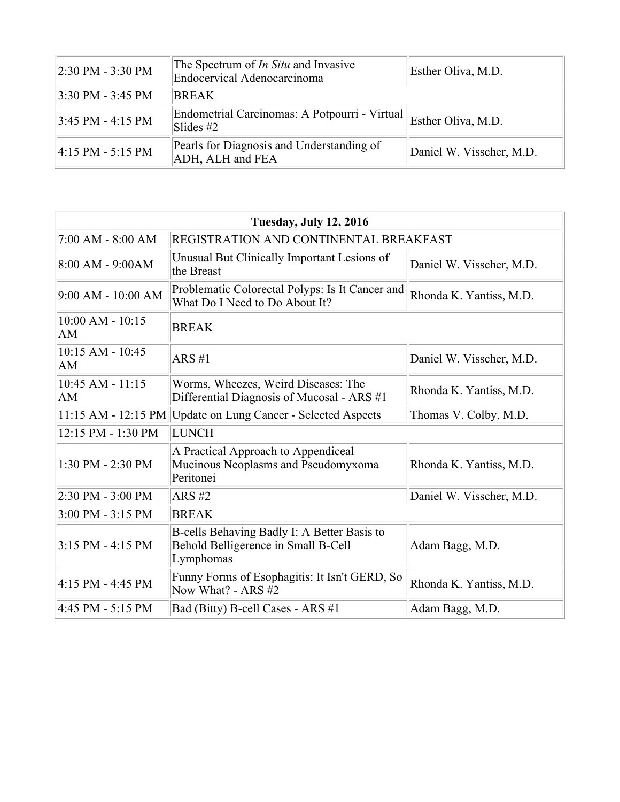| $ 2:30$ PM - 3:30 PM                | The Spectrum of <i>In Situ</i> and Invasive<br>Endocervical Adenocarcinoma              | Esther Oliva, M.D.       |
|-------------------------------------|-----------------------------------------------------------------------------------------|--------------------------|
| $\parallel$ 3:30 PM - 3:45 PM       | <b>BREAK</b>                                                                            |                          |
| $3:45 \text{ PM} - 4:15 \text{ PM}$ | Endometrial Carcinomas: A Potpourri - Virtual Esther Oliva, M.D.<br>$\text{Slides} \#2$ |                          |
| $ 4:15$ PM - 5:15 PM                | Pearls for Diagnosis and Understanding of<br>ADH, ALH and FEA                           | Daniel W. Visscher, M.D. |

| <b>Tuesday, July 12, 2016</b> |                                                                                                 |                          |
|-------------------------------|-------------------------------------------------------------------------------------------------|--------------------------|
| 7:00 AM - 8:00 AM             | REGISTRATION AND CONTINENTAL BREAKFAST                                                          |                          |
| 8:00 AM - 9:00AM              | Unusual But Clinically Important Lesions of<br>the Breast                                       | Daniel W. Visscher, M.D. |
| 9:00 AM - 10:00 AM            | Problematic Colorectal Polyps: Is It Cancer and<br>What Do I Need to Do About It?               | Rhonda K. Yantiss, M.D.  |
| $10:00 AM - 10:15$<br>AM      | <b>BREAK</b>                                                                                    |                          |
| $10:15$ AM - $10:45$<br>AM    | ARS#1                                                                                           | Daniel W. Visscher, M.D. |
| $10:45$ AM - $11:15$<br>lΑM   | Worms, Wheezes, Weird Diseases: The<br>Differential Diagnosis of Mucosal - ARS #1               | Rhonda K. Yantiss, M.D.  |
|                               | 11:15 AM - 12:15 PM Update on Lung Cancer - Selected Aspects                                    | Thomas V. Colby, M.D.    |
| 12:15 PM - 1:30 PM            | <b>LUNCH</b>                                                                                    |                          |
| 1:30 PM - 2:30 PM             | A Practical Approach to Appendiceal<br>Mucinous Neoplasms and Pseudomyxoma<br>Peritonei         | Rhonda K. Yantiss, M.D.  |
| 2:30 PM - 3:00 PM             | ARS#2                                                                                           | Daniel W. Visscher, M.D. |
| 3:00 PM - 3:15 PM             | <b>BREAK</b>                                                                                    |                          |
| 3:15 PM - 4:15 PM             | B-cells Behaving Badly I: A Better Basis to<br>Behold Belligerence in Small B-Cell<br>Lymphomas | Adam Bagg, M.D.          |
| $4:15$ PM - 4:45 PM           | Funny Forms of Esophagitis: It Isn't GERD, So<br>Now What? - ARS #2                             | Rhonda K. Yantiss, M.D.  |
| 4:45 PM - 5:15 PM             | Bad (Bitty) B-cell Cases - ARS #1                                                               | Adam Bagg, M.D.          |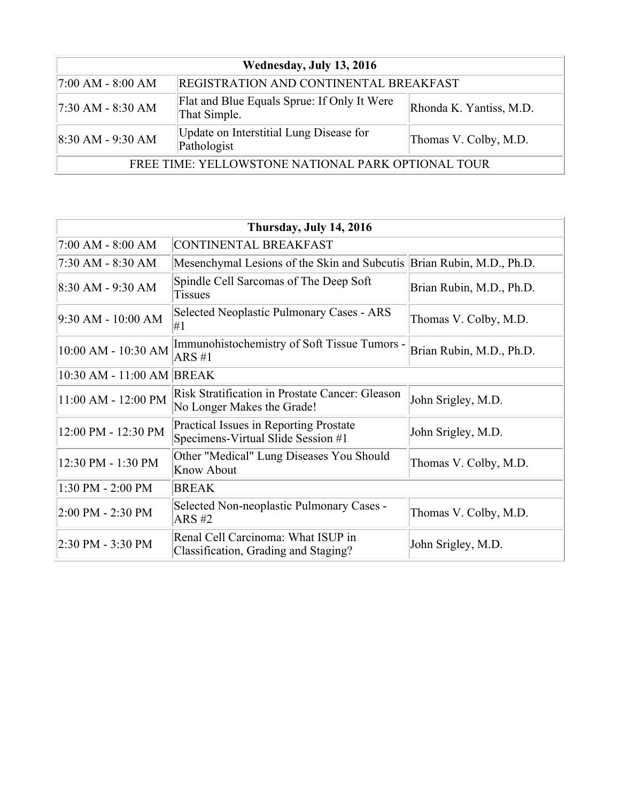| Wednesday, July 13, 2016                           |                                                             |                         |
|----------------------------------------------------|-------------------------------------------------------------|-------------------------|
| 7:00 AM - 8:00 AM                                  | REGISTRATION AND CONTINENTAL BREAKFAST                      |                         |
| 7:30 AM - 8:30 AM                                  | Flat and Blue Equals Sprue: If Only It Were<br>That Simple. | Rhonda K. Yantiss, M.D. |
| 8:30 AM - 9:30 AM                                  | Update on Interstitial Lung Disease for<br>Pathologist      | Thomas V. Colby, M.D.   |
| FREE TIME: YELLOWSTONE NATIONAL PARK OPTIONAL TOUR |                                                             |                         |

| Thursday, July 14, 2016   |                                                                                     |                          |
|---------------------------|-------------------------------------------------------------------------------------|--------------------------|
| 7:00 AM - 8:00 AM         | CONTINENTAL BREAKFAST                                                               |                          |
| 7:30 AM - 8:30 AM         | Mesenchymal Lesions of the Skin and Subcutis Brian Rubin, M.D., Ph.D.               |                          |
| 8:30 AM - 9:30 AM         | Spindle Cell Sarcomas of The Deep Soft<br>Tissues                                   | Brian Rubin, M.D., Ph.D. |
| 9:30 AM - 10:00 AM        | Selected Neoplastic Pulmonary Cases - ARS<br>#1                                     | Thomas V. Colby, M.D.    |
| 10:00 AM - 10:30 AM       | Immunohistochemistry of Soft Tissue Tumors -<br>ARS#1                               | Brian Rubin, M.D., Ph.D. |
| 10:30 AM - 11:00 AM BREAK |                                                                                     |                          |
| 11:00 AM - 12:00 PM       | Risk Stratification in Prostate Cancer: Gleason<br>No Longer Makes the Grade!       | John Srigley, M.D.       |
| 12:00 PM - 12:30 PM       | <b>Practical Issues in Reporting Prostate</b><br>Specimens-Virtual Slide Session #1 | John Srigley, M.D.       |
| 12:30 PM - 1:30 PM        | Other "Medical" Lung Diseases You Should<br><b>Know About</b>                       | Thomas V. Colby, M.D.    |
| 1:30 PM - 2:00 PM         | <b>BREAK</b>                                                                        |                          |
| 2:00 PM - 2:30 PM         | Selected Non-neoplastic Pulmonary Cases -<br><b>ARS#2</b>                           | Thomas V. Colby, M.D.    |
| 2:30 PM - 3:30 PM         | Renal Cell Carcinoma: What ISUP in<br>Classification, Grading and Staging?          | John Srigley, M.D.       |